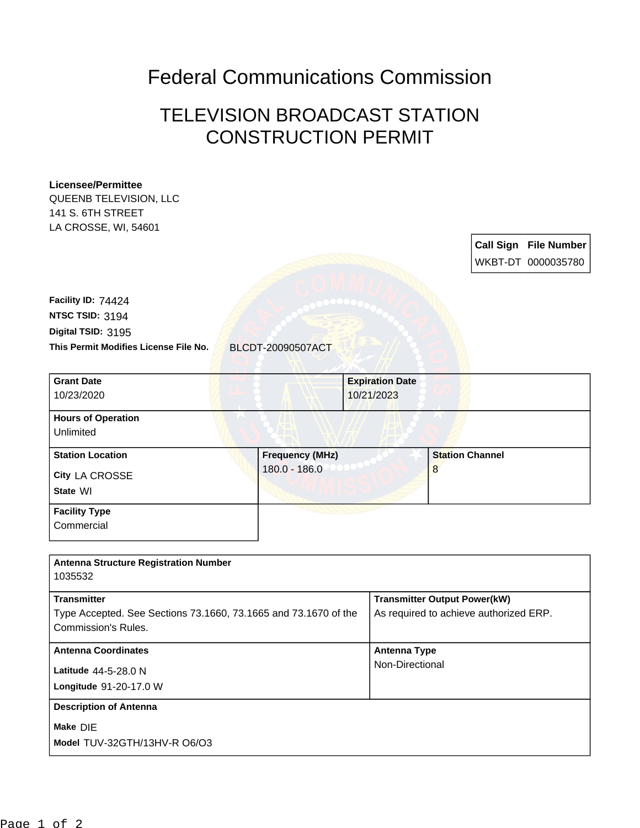## Federal Communications Commission

## TELEVISION BROADCAST STATION CONSTRUCTION PERMIT

## **Licensee/Permittee**

QUEENB TELEVISION, LLC 141 S. 6TH STREET LA CROSSE, WI, 54601

> **Call Sign File Number** WKBT-DT 0000035780

**This Permit Modifies License File No.** BLCDT-20090507ACT **Digital TSID:** 3195 **NTSC TSID:** 3194 **Facility ID:** 74424

| <b>Grant Date</b>         | <b>Expiration Date</b> |                        |  |
|---------------------------|------------------------|------------------------|--|
| 10/23/2020                | 10/21/2023             |                        |  |
| <b>Hours of Operation</b> |                        |                        |  |
| Unlimited                 |                        |                        |  |
| <b>Station Location</b>   | <b>Frequency (MHz)</b> | <b>Station Channel</b> |  |
| City LA CROSSE            | $180.0 - 186.0$        | 8                      |  |
| State WI                  |                        |                        |  |
| <b>Facility Type</b>      |                        |                        |  |

**Commercial** 

| <b>Antenna Structure Registration Number</b><br>1035532                                |                                        |
|----------------------------------------------------------------------------------------|----------------------------------------|
| <b>Transmitter</b>                                                                     | <b>Transmitter Output Power(kW)</b>    |
| Type Accepted. See Sections 73.1660, 73.1665 and 73.1670 of the<br>Commission's Rules. | As required to achieve authorized ERP. |
| <b>Antenna Coordinates</b>                                                             | Antenna Type                           |
| Latitude 44-5-28.0 N                                                                   | Non-Directional                        |
| Longitude 91-20-17.0 W                                                                 |                                        |
| <b>Description of Antenna</b>                                                          |                                        |
| Make DIE                                                                               |                                        |
| Model TUV-32GTH/13HV-R O6/O3                                                           |                                        |